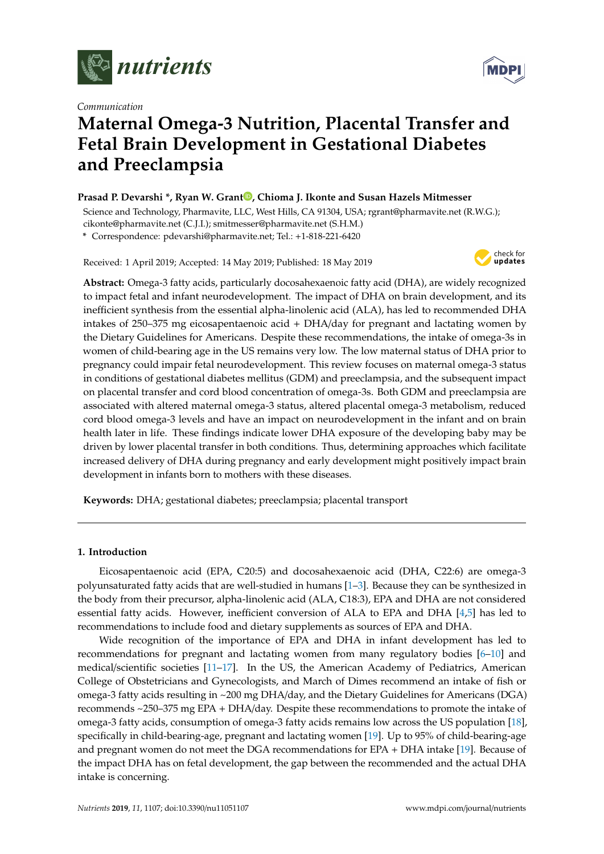

*Communication*



# **Maternal Omega-3 Nutrition, Placental Transfer and Fetal Brain Development in Gestational Diabetes and Preeclampsia**

# **Prasad P. Devarshi \*, Ryan W. Grant [,](https://orcid.org/0000-0002-8940-4196) Chioma J. Ikonte and Susan Hazels Mitmesser**

Science and Technology, Pharmavite, LLC, West Hills, CA 91304, USA; rgrant@pharmavite.net (R.W.G.); cikonte@pharmavite.net (C.J.I.); smitmesser@pharmavite.net (S.H.M.)

**\*** Correspondence: pdevarshi@pharmavite.net; Tel.: +1-818-221-6420

Received: 1 April 2019; Accepted: 14 May 2019; Published: 18 May 2019



**Abstract:** Omega-3 fatty acids, particularly docosahexaenoic fatty acid (DHA), are widely recognized to impact fetal and infant neurodevelopment. The impact of DHA on brain development, and its inefficient synthesis from the essential alpha-linolenic acid (ALA), has led to recommended DHA intakes of 250–375 mg eicosapentaenoic acid + DHA/day for pregnant and lactating women by the Dietary Guidelines for Americans. Despite these recommendations, the intake of omega-3s in women of child-bearing age in the US remains very low. The low maternal status of DHA prior to pregnancy could impair fetal neurodevelopment. This review focuses on maternal omega-3 status in conditions of gestational diabetes mellitus (GDM) and preeclampsia, and the subsequent impact on placental transfer and cord blood concentration of omega-3s. Both GDM and preeclampsia are associated with altered maternal omega-3 status, altered placental omega-3 metabolism, reduced cord blood omega-3 levels and have an impact on neurodevelopment in the infant and on brain health later in life. These findings indicate lower DHA exposure of the developing baby may be driven by lower placental transfer in both conditions. Thus, determining approaches which facilitate increased delivery of DHA during pregnancy and early development might positively impact brain development in infants born to mothers with these diseases.

**Keywords:** DHA; gestational diabetes; preeclampsia; placental transport

# **1. Introduction**

Eicosapentaenoic acid (EPA, C20:5) and docosahexaenoic acid (DHA, C22:6) are omega-3 polyunsaturated fatty acids that are well-studied in humans [\[1–](#page-6-0)[3\]](#page-6-1). Because they can be synthesized in the body from their precursor, alpha-linolenic acid (ALA, C18:3), EPA and DHA are not considered essential fatty acids. However, inefficient conversion of ALA to EPA and DHA [\[4,](#page-6-2)[5\]](#page-6-3) has led to recommendations to include food and dietary supplements as sources of EPA and DHA.

Wide recognition of the importance of EPA and DHA in infant development has led to recommendations for pregnant and lactating women from many regulatory bodies [\[6–](#page-6-4)[10\]](#page-7-0) and medical/scientific societies [\[11–](#page-7-1)[17\]](#page-7-2). In the US, the American Academy of Pediatrics, American College of Obstetricians and Gynecologists, and March of Dimes recommend an intake of fish or omega-3 fatty acids resulting in ~200 mg DHA/day, and the Dietary Guidelines for Americans (DGA) recommends ~250–375 mg EPA + DHA/day. Despite these recommendations to promote the intake of omega-3 fatty acids, consumption of omega-3 fatty acids remains low across the US population [\[18\]](#page-7-3), specifically in child-bearing-age, pregnant and lactating women [\[19\]](#page-7-4). Up to 95% of child-bearing-age and pregnant women do not meet the DGA recommendations for EPA + DHA intake [\[19\]](#page-7-4). Because of the impact DHA has on fetal development, the gap between the recommended and the actual DHA intake is concerning.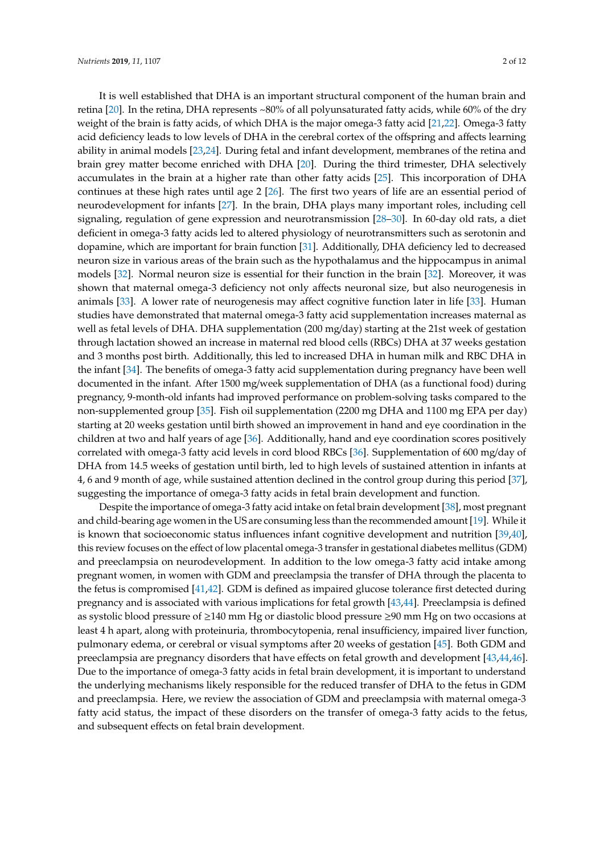It is well established that DHA is an important structural component of the human brain and retina [\[20\]](#page-7-5). In the retina, DHA represents ~80% of all polyunsaturated fatty acids, while 60% of the dry weight of the brain is fatty acids, of which DHA is the major omega-3 fatty acid [\[21](#page-7-6)[,22\]](#page-7-7). Omega-3 fatty acid deficiency leads to low levels of DHA in the cerebral cortex of the offspring and affects learning ability in animal models [\[23,](#page-7-8)[24\]](#page-7-9). During fetal and infant development, membranes of the retina and brain grey matter become enriched with DHA [\[20\]](#page-7-5). During the third trimester, DHA selectively accumulates in the brain at a higher rate than other fatty acids [\[25\]](#page-7-10). This incorporation of DHA continues at these high rates until age 2 [\[26\]](#page-7-11). The first two years of life are an essential period of neurodevelopment for infants [\[27\]](#page-7-12). In the brain, DHA plays many important roles, including cell signaling, regulation of gene expression and neurotransmission [\[28–](#page-7-13)[30\]](#page-7-14). In 60-day old rats, a diet deficient in omega-3 fatty acids led to altered physiology of neurotransmitters such as serotonin and dopamine, which are important for brain function [\[31\]](#page-7-15). Additionally, DHA deficiency led to decreased neuron size in various areas of the brain such as the hypothalamus and the hippocampus in animal models [\[32\]](#page-8-0). Normal neuron size is essential for their function in the brain [\[32\]](#page-8-0). Moreover, it was shown that maternal omega-3 deficiency not only affects neuronal size, but also neurogenesis in animals [\[33\]](#page-8-1). A lower rate of neurogenesis may affect cognitive function later in life [\[33\]](#page-8-1). Human studies have demonstrated that maternal omega-3 fatty acid supplementation increases maternal as well as fetal levels of DHA. DHA supplementation (200 mg/day) starting at the 21st week of gestation through lactation showed an increase in maternal red blood cells (RBCs) DHA at 37 weeks gestation and 3 months post birth. Additionally, this led to increased DHA in human milk and RBC DHA in the infant [\[34\]](#page-8-2). The benefits of omega-3 fatty acid supplementation during pregnancy have been well documented in the infant. After 1500 mg/week supplementation of DHA (as a functional food) during pregnancy, 9-month-old infants had improved performance on problem-solving tasks compared to the non-supplemented group [\[35\]](#page-8-3). Fish oil supplementation (2200 mg DHA and 1100 mg EPA per day) starting at 20 weeks gestation until birth showed an improvement in hand and eye coordination in the children at two and half years of age [\[36\]](#page-8-4). Additionally, hand and eye coordination scores positively correlated with omega-3 fatty acid levels in cord blood RBCs [\[36\]](#page-8-4). Supplementation of 600 mg/day of DHA from 14.5 weeks of gestation until birth, led to high levels of sustained attention in infants at 4, 6 and 9 month of age, while sustained attention declined in the control group during this period [\[37\]](#page-8-5), suggesting the importance of omega-3 fatty acids in fetal brain development and function.

Despite the importance of omega-3 fatty acid intake on fetal brain development [\[38\]](#page-8-6), most pregnant and child-bearing age women in the US are consuming less than the recommended amount [\[19\]](#page-7-4). While it is known that socioeconomic status influences infant cognitive development and nutrition [\[39,](#page-8-7)[40\]](#page-8-8), this review focuses on the effect of low placental omega-3 transfer in gestational diabetes mellitus (GDM) and preeclampsia on neurodevelopment. In addition to the low omega-3 fatty acid intake among pregnant women, in women with GDM and preeclampsia the transfer of DHA through the placenta to the fetus is compromised [\[41](#page-8-9)[,42\]](#page-8-10). GDM is defined as impaired glucose tolerance first detected during pregnancy and is associated with various implications for fetal growth [\[43,](#page-8-11)[44\]](#page-8-12). Preeclampsia is defined as systolic blood pressure of ≥140 mm Hg or diastolic blood pressure ≥90 mm Hg on two occasions at least 4 h apart, along with proteinuria, thrombocytopenia, renal insufficiency, impaired liver function, pulmonary edema, or cerebral or visual symptoms after 20 weeks of gestation [\[45\]](#page-8-13). Both GDM and preeclampsia are pregnancy disorders that have effects on fetal growth and development [\[43,](#page-8-11)[44,](#page-8-12)[46\]](#page-8-14). Due to the importance of omega-3 fatty acids in fetal brain development, it is important to understand the underlying mechanisms likely responsible for the reduced transfer of DHA to the fetus in GDM and preeclampsia. Here, we review the association of GDM and preeclampsia with maternal omega-3 fatty acid status, the impact of these disorders on the transfer of omega-3 fatty acids to the fetus, and subsequent effects on fetal brain development.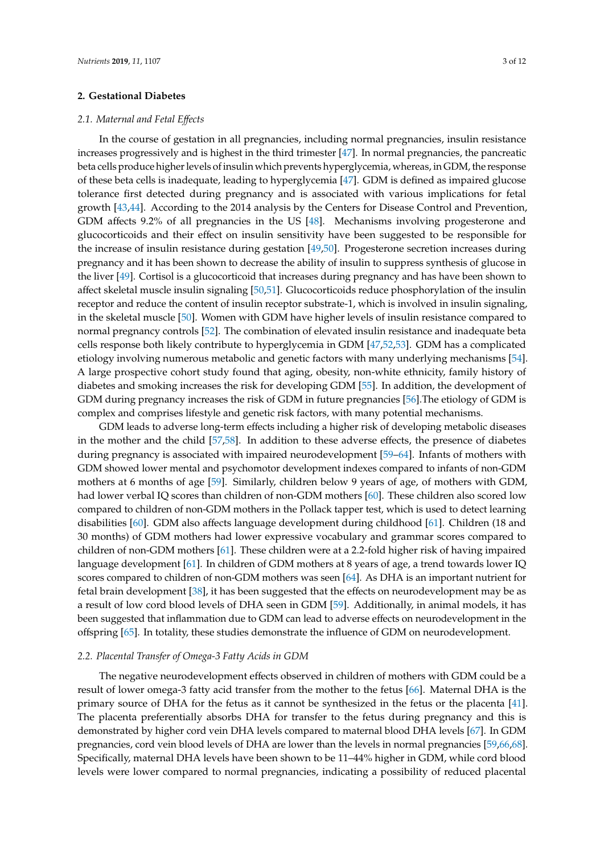# **2. Gestational Diabetes**

## *2.1. Maternal and Fetal E*ff*ects*

In the course of gestation in all pregnancies, including normal pregnancies, insulin resistance increases progressively and is highest in the third trimester [\[47\]](#page-8-15). In normal pregnancies, the pancreatic beta cells produce higher levels of insulin which prevents hyperglycemia, whereas, in GDM, the response of these beta cells is inadequate, leading to hyperglycemia [\[47\]](#page-8-15). GDM is defined as impaired glucose tolerance first detected during pregnancy and is associated with various implications for fetal growth [\[43](#page-8-11)[,44\]](#page-8-12). According to the 2014 analysis by the Centers for Disease Control and Prevention, GDM affects 9.2% of all pregnancies in the US [\[48\]](#page-8-16). Mechanisms involving progesterone and glucocorticoids and their effect on insulin sensitivity have been suggested to be responsible for the increase of insulin resistance during gestation [\[49,](#page-8-17)[50\]](#page-8-18). Progesterone secretion increases during pregnancy and it has been shown to decrease the ability of insulin to suppress synthesis of glucose in the liver [\[49\]](#page-8-17). Cortisol is a glucocorticoid that increases during pregnancy and has have been shown to affect skeletal muscle insulin signaling [\[50](#page-8-18)[,51\]](#page-8-19). Glucocorticoids reduce phosphorylation of the insulin receptor and reduce the content of insulin receptor substrate-1, which is involved in insulin signaling, in the skeletal muscle [\[50\]](#page-8-18). Women with GDM have higher levels of insulin resistance compared to normal pregnancy controls [\[52\]](#page-8-20). The combination of elevated insulin resistance and inadequate beta cells response both likely contribute to hyperglycemia in GDM [\[47,](#page-8-15)[52,](#page-8-20)[53\]](#page-9-0). GDM has a complicated etiology involving numerous metabolic and genetic factors with many underlying mechanisms [\[54\]](#page-9-1). A large prospective cohort study found that aging, obesity, non-white ethnicity, family history of diabetes and smoking increases the risk for developing GDM [\[55\]](#page-9-2). In addition, the development of GDM during pregnancy increases the risk of GDM in future pregnancies [\[56\]](#page-9-3).The etiology of GDM is complex and comprises lifestyle and genetic risk factors, with many potential mechanisms.

GDM leads to adverse long-term effects including a higher risk of developing metabolic diseases in the mother and the child [\[57](#page-9-4)[,58\]](#page-9-5). In addition to these adverse effects, the presence of diabetes during pregnancy is associated with impaired neurodevelopment [\[59–](#page-9-6)[64\]](#page-9-7). Infants of mothers with GDM showed lower mental and psychomotor development indexes compared to infants of non-GDM mothers at 6 months of age [\[59\]](#page-9-6). Similarly, children below 9 years of age, of mothers with GDM, had lower verbal IQ scores than children of non-GDM mothers [\[60\]](#page-9-8). These children also scored low compared to children of non-GDM mothers in the Pollack tapper test, which is used to detect learning disabilities [\[60\]](#page-9-8). GDM also affects language development during childhood [\[61\]](#page-9-9). Children (18 and 30 months) of GDM mothers had lower expressive vocabulary and grammar scores compared to children of non-GDM mothers [\[61\]](#page-9-9). These children were at a 2.2-fold higher risk of having impaired language development [\[61\]](#page-9-9). In children of GDM mothers at 8 years of age, a trend towards lower IQ scores compared to children of non-GDM mothers was seen [\[64\]](#page-9-7). As DHA is an important nutrient for fetal brain development [\[38\]](#page-8-6), it has been suggested that the effects on neurodevelopment may be as a result of low cord blood levels of DHA seen in GDM [\[59\]](#page-9-6). Additionally, in animal models, it has been suggested that inflammation due to GDM can lead to adverse effects on neurodevelopment in the offspring [\[65\]](#page-9-10). In totality, these studies demonstrate the influence of GDM on neurodevelopment.

#### *2.2. Placental Transfer of Omega-3 Fatty Acids in GDM*

The negative neurodevelopment effects observed in children of mothers with GDM could be a result of lower omega-3 fatty acid transfer from the mother to the fetus [\[66\]](#page-9-11). Maternal DHA is the primary source of DHA for the fetus as it cannot be synthesized in the fetus or the placenta [\[41\]](#page-8-9). The placenta preferentially absorbs DHA for transfer to the fetus during pregnancy and this is demonstrated by higher cord vein DHA levels compared to maternal blood DHA levels [\[67\]](#page-9-12). In GDM pregnancies, cord vein blood levels of DHA are lower than the levels in normal pregnancies [\[59](#page-9-6)[,66](#page-9-11)[,68\]](#page-9-13). Specifically, maternal DHA levels have been shown to be 11–44% higher in GDM, while cord blood levels were lower compared to normal pregnancies, indicating a possibility of reduced placental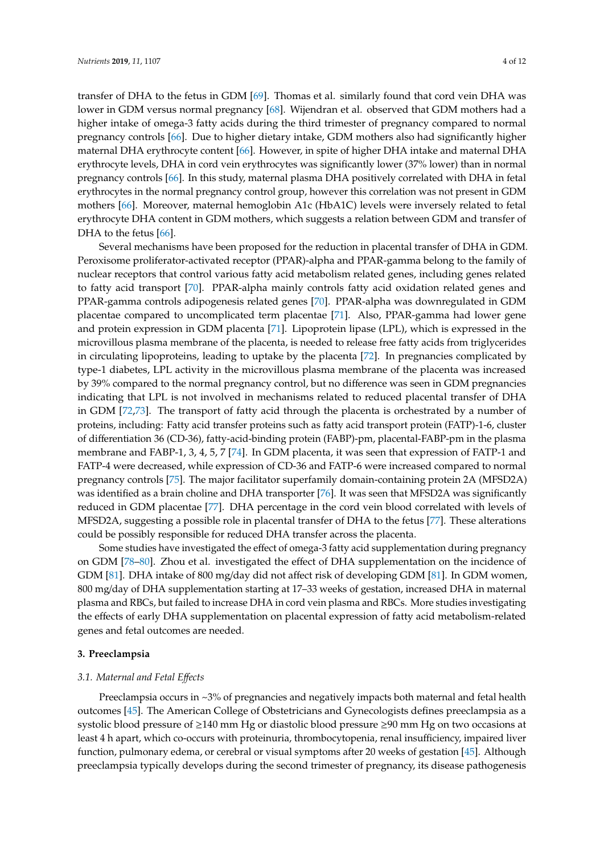transfer of DHA to the fetus in GDM [\[69\]](#page-9-14). Thomas et al. similarly found that cord vein DHA was lower in GDM versus normal pregnancy [\[68\]](#page-9-13). Wijendran et al. observed that GDM mothers had a higher intake of omega-3 fatty acids during the third trimester of pregnancy compared to normal pregnancy controls [\[66\]](#page-9-11). Due to higher dietary intake, GDM mothers also had significantly higher maternal DHA erythrocyte content [\[66\]](#page-9-11). However, in spite of higher DHA intake and maternal DHA erythrocyte levels, DHA in cord vein erythrocytes was significantly lower (37% lower) than in normal pregnancy controls [\[66\]](#page-9-11). In this study, maternal plasma DHA positively correlated with DHA in fetal erythrocytes in the normal pregnancy control group, however this correlation was not present in GDM mothers [\[66\]](#page-9-11). Moreover, maternal hemoglobin A1c (HbA1C) levels were inversely related to fetal erythrocyte DHA content in GDM mothers, which suggests a relation between GDM and transfer of DHA to the fetus [\[66\]](#page-9-11).

Several mechanisms have been proposed for the reduction in placental transfer of DHA in GDM. Peroxisome proliferator-activated receptor (PPAR)-alpha and PPAR-gamma belong to the family of nuclear receptors that control various fatty acid metabolism related genes, including genes related to fatty acid transport [\[70\]](#page-9-15). PPAR-alpha mainly controls fatty acid oxidation related genes and PPAR-gamma controls adipogenesis related genes [\[70\]](#page-9-15). PPAR-alpha was downregulated in GDM placentae compared to uncomplicated term placentae [\[71\]](#page-9-16). Also, PPAR-gamma had lower gene and protein expression in GDM placenta [\[71\]](#page-9-16). Lipoprotein lipase (LPL), which is expressed in the microvillous plasma membrane of the placenta, is needed to release free fatty acids from triglycerides in circulating lipoproteins, leading to uptake by the placenta [\[72\]](#page-9-17). In pregnancies complicated by type-1 diabetes, LPL activity in the microvillous plasma membrane of the placenta was increased by 39% compared to the normal pregnancy control, but no difference was seen in GDM pregnancies indicating that LPL is not involved in mechanisms related to reduced placental transfer of DHA in GDM [\[72](#page-9-17)[,73\]](#page-10-0). The transport of fatty acid through the placenta is orchestrated by a number of proteins, including: Fatty acid transfer proteins such as fatty acid transport protein (FATP)-1-6, cluster of differentiation 36 (CD-36), fatty-acid-binding protein (FABP)-pm, placental-FABP-pm in the plasma membrane and FABP-1, 3, 4, 5, 7 [\[74\]](#page-10-1). In GDM placenta, it was seen that expression of FATP-1 and FATP-4 were decreased, while expression of CD-36 and FATP-6 were increased compared to normal pregnancy controls [\[75\]](#page-10-2). The major facilitator superfamily domain-containing protein 2A (MFSD2A) was identified as a brain choline and DHA transporter [\[76\]](#page-10-3). It was seen that MFSD2A was significantly reduced in GDM placentae [\[77\]](#page-10-4). DHA percentage in the cord vein blood correlated with levels of MFSD2A, suggesting a possible role in placental transfer of DHA to the fetus [\[77\]](#page-10-4). These alterations could be possibly responsible for reduced DHA transfer across the placenta.

Some studies have investigated the effect of omega-3 fatty acid supplementation during pregnancy on GDM [\[78–](#page-10-5)[80\]](#page-10-6). Zhou et al. investigated the effect of DHA supplementation on the incidence of GDM [\[81\]](#page-10-7). DHA intake of 800 mg/day did not affect risk of developing GDM [\[81\]](#page-10-7). In GDM women, 800 mg/day of DHA supplementation starting at 17–33 weeks of gestation, increased DHA in maternal plasma and RBCs, but failed to increase DHA in cord vein plasma and RBCs. More studies investigating the effects of early DHA supplementation on placental expression of fatty acid metabolism-related genes and fetal outcomes are needed.

#### **3. Preeclampsia**

#### *3.1. Maternal and Fetal E*ff*ects*

Preeclampsia occurs in ~3% of pregnancies and negatively impacts both maternal and fetal health outcomes [\[45\]](#page-8-13). The American College of Obstetricians and Gynecologists defines preeclampsia as a systolic blood pressure of ≥140 mm Hg or diastolic blood pressure ≥90 mm Hg on two occasions at least 4 h apart, which co-occurs with proteinuria, thrombocytopenia, renal insufficiency, impaired liver function, pulmonary edema, or cerebral or visual symptoms after 20 weeks of gestation [\[45\]](#page-8-13). Although preeclampsia typically develops during the second trimester of pregnancy, its disease pathogenesis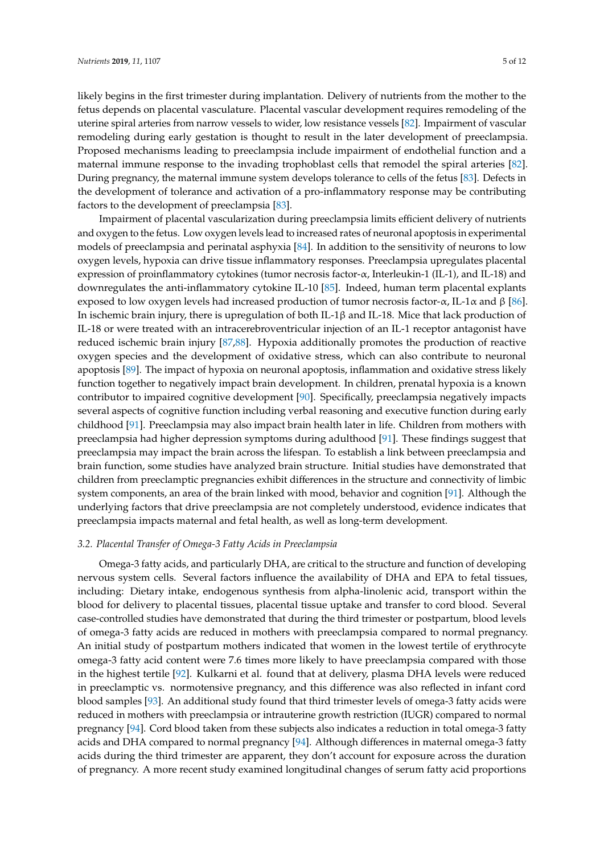likely begins in the first trimester during implantation. Delivery of nutrients from the mother to the fetus depends on placental vasculature. Placental vascular development requires remodeling of the uterine spiral arteries from narrow vessels to wider, low resistance vessels [\[82\]](#page-10-8). Impairment of vascular remodeling during early gestation is thought to result in the later development of preeclampsia. Proposed mechanisms leading to preeclampsia include impairment of endothelial function and a maternal immune response to the invading trophoblast cells that remodel the spiral arteries [\[82\]](#page-10-8). During pregnancy, the maternal immune system develops tolerance to cells of the fetus [\[83\]](#page-10-9). Defects in the development of tolerance and activation of a pro-inflammatory response may be contributing factors to the development of preeclampsia [\[83\]](#page-10-9).

Impairment of placental vascularization during preeclampsia limits efficient delivery of nutrients and oxygen to the fetus. Low oxygen levels lead to increased rates of neuronal apoptosis in experimental models of preeclampsia and perinatal asphyxia [\[84\]](#page-10-10). In addition to the sensitivity of neurons to low oxygen levels, hypoxia can drive tissue inflammatory responses. Preeclampsia upregulates placental expression of proinflammatory cytokines (tumor necrosis factor-α, Interleukin-1 (IL-1), and IL-18) and downregulates the anti-inflammatory cytokine IL-10 [\[85\]](#page-10-11). Indeed, human term placental explants exposed to low oxygen levels had increased production of tumor necrosis factor-α, IL-1α and β [\[86\]](#page-10-12). In ischemic brain injury, there is upregulation of both IL-1β and IL-18. Mice that lack production of IL-18 or were treated with an intracerebroventricular injection of an IL-1 receptor antagonist have reduced ischemic brain injury [\[87,](#page-10-13)[88\]](#page-10-14). Hypoxia additionally promotes the production of reactive oxygen species and the development of oxidative stress, which can also contribute to neuronal apoptosis [\[89\]](#page-10-15). The impact of hypoxia on neuronal apoptosis, inflammation and oxidative stress likely function together to negatively impact brain development. In children, prenatal hypoxia is a known contributor to impaired cognitive development [\[90\]](#page-10-16). Specifically, preeclampsia negatively impacts several aspects of cognitive function including verbal reasoning and executive function during early childhood [\[91\]](#page-10-17). Preeclampsia may also impact brain health later in life. Children from mothers with preeclampsia had higher depression symptoms during adulthood [\[91\]](#page-10-17). These findings suggest that preeclampsia may impact the brain across the lifespan. To establish a link between preeclampsia and brain function, some studies have analyzed brain structure. Initial studies have demonstrated that children from preeclamptic pregnancies exhibit differences in the structure and connectivity of limbic system components, an area of the brain linked with mood, behavior and cognition [\[91\]](#page-10-17). Although the underlying factors that drive preeclampsia are not completely understood, evidence indicates that preeclampsia impacts maternal and fetal health, as well as long-term development.

## *3.2. Placental Transfer of Omega-3 Fatty Acids in Preeclampsia*

Omega-3 fatty acids, and particularly DHA, are critical to the structure and function of developing nervous system cells. Several factors influence the availability of DHA and EPA to fetal tissues, including: Dietary intake, endogenous synthesis from alpha-linolenic acid, transport within the blood for delivery to placental tissues, placental tissue uptake and transfer to cord blood. Several case-controlled studies have demonstrated that during the third trimester or postpartum, blood levels of omega-3 fatty acids are reduced in mothers with preeclampsia compared to normal pregnancy. An initial study of postpartum mothers indicated that women in the lowest tertile of erythrocyte omega-3 fatty acid content were 7.6 times more likely to have preeclampsia compared with those in the highest tertile [\[92\]](#page-10-18). Kulkarni et al. found that at delivery, plasma DHA levels were reduced in preeclamptic vs. normotensive pregnancy, and this difference was also reflected in infant cord blood samples [\[93\]](#page-11-0). An additional study found that third trimester levels of omega-3 fatty acids were reduced in mothers with preeclampsia or intrauterine growth restriction (IUGR) compared to normal pregnancy [\[94\]](#page-11-1). Cord blood taken from these subjects also indicates a reduction in total omega-3 fatty acids and DHA compared to normal pregnancy [\[94\]](#page-11-1). Although differences in maternal omega-3 fatty acids during the third trimester are apparent, they don't account for exposure across the duration of pregnancy. A more recent study examined longitudinal changes of serum fatty acid proportions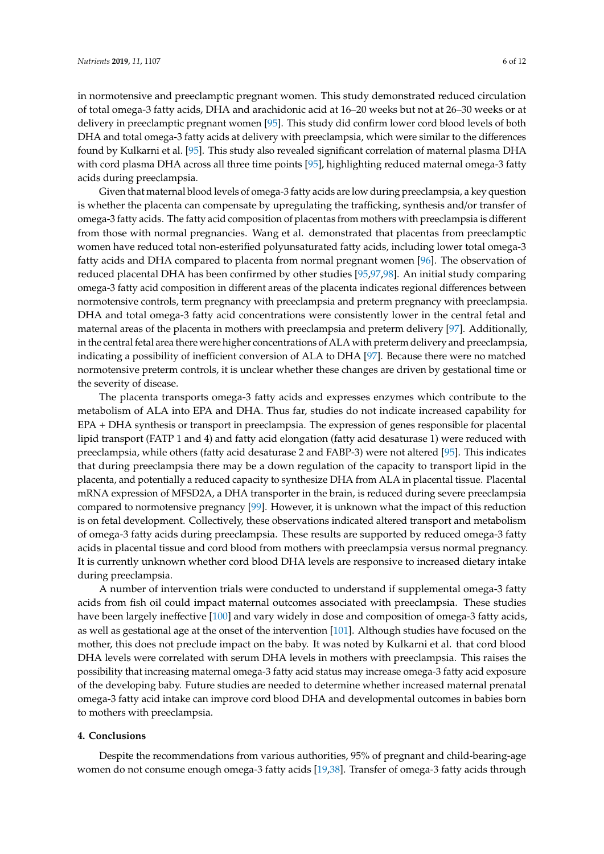in normotensive and preeclamptic pregnant women. This study demonstrated reduced circulation of total omega-3 fatty acids, DHA and arachidonic acid at 16–20 weeks but not at 26–30 weeks or at delivery in preeclamptic pregnant women [\[95\]](#page-11-2). This study did confirm lower cord blood levels of both DHA and total omega-3 fatty acids at delivery with preeclampsia, which were similar to the differences found by Kulkarni et al. [\[95\]](#page-11-2). This study also revealed significant correlation of maternal plasma DHA with cord plasma DHA across all three time points [\[95\]](#page-11-2), highlighting reduced maternal omega-3 fatty acids during preeclampsia.

Given that maternal blood levels of omega-3 fatty acids are low during preeclampsia, a key question is whether the placenta can compensate by upregulating the trafficking, synthesis and/or transfer of omega-3 fatty acids. The fatty acid composition of placentas from mothers with preeclampsia is different from those with normal pregnancies. Wang et al. demonstrated that placentas from preeclamptic women have reduced total non-esterified polyunsaturated fatty acids, including lower total omega-3 fatty acids and DHA compared to placenta from normal pregnant women [\[96\]](#page-11-3). The observation of reduced placental DHA has been confirmed by other studies [\[95](#page-11-2)[,97](#page-11-4)[,98\]](#page-11-5). An initial study comparing omega-3 fatty acid composition in different areas of the placenta indicates regional differences between normotensive controls, term pregnancy with preeclampsia and preterm pregnancy with preeclampsia. DHA and total omega-3 fatty acid concentrations were consistently lower in the central fetal and maternal areas of the placenta in mothers with preeclampsia and preterm delivery [\[97\]](#page-11-4). Additionally, in the central fetal area there were higher concentrations of ALA with preterm delivery and preeclampsia, indicating a possibility of inefficient conversion of ALA to DHA [\[97\]](#page-11-4). Because there were no matched normotensive preterm controls, it is unclear whether these changes are driven by gestational time or the severity of disease.

The placenta transports omega-3 fatty acids and expresses enzymes which contribute to the metabolism of ALA into EPA and DHA. Thus far, studies do not indicate increased capability for EPA + DHA synthesis or transport in preeclampsia. The expression of genes responsible for placental lipid transport (FATP 1 and 4) and fatty acid elongation (fatty acid desaturase 1) were reduced with preeclampsia, while others (fatty acid desaturase 2 and FABP-3) were not altered [\[95\]](#page-11-2). This indicates that during preeclampsia there may be a down regulation of the capacity to transport lipid in the placenta, and potentially a reduced capacity to synthesize DHA from ALA in placental tissue. Placental mRNA expression of MFSD2A, a DHA transporter in the brain, is reduced during severe preeclampsia compared to normotensive pregnancy [\[99\]](#page-11-6). However, it is unknown what the impact of this reduction is on fetal development. Collectively, these observations indicated altered transport and metabolism of omega-3 fatty acids during preeclampsia. These results are supported by reduced omega-3 fatty acids in placental tissue and cord blood from mothers with preeclampsia versus normal pregnancy. It is currently unknown whether cord blood DHA levels are responsive to increased dietary intake during preeclampsia.

A number of intervention trials were conducted to understand if supplemental omega-3 fatty acids from fish oil could impact maternal outcomes associated with preeclampsia. These studies have been largely ineffective [\[100\]](#page-11-7) and vary widely in dose and composition of omega-3 fatty acids, as well as gestational age at the onset of the intervention [\[101\]](#page-11-8). Although studies have focused on the mother, this does not preclude impact on the baby. It was noted by Kulkarni et al. that cord blood DHA levels were correlated with serum DHA levels in mothers with preeclampsia. This raises the possibility that increasing maternal omega-3 fatty acid status may increase omega-3 fatty acid exposure of the developing baby. Future studies are needed to determine whether increased maternal prenatal omega-3 fatty acid intake can improve cord blood DHA and developmental outcomes in babies born to mothers with preeclampsia.

# **4. Conclusions**

Despite the recommendations from various authorities, 95% of pregnant and child-bearing-age women do not consume enough omega-3 fatty acids [\[19,](#page-7-4)[38\]](#page-8-6). Transfer of omega-3 fatty acids through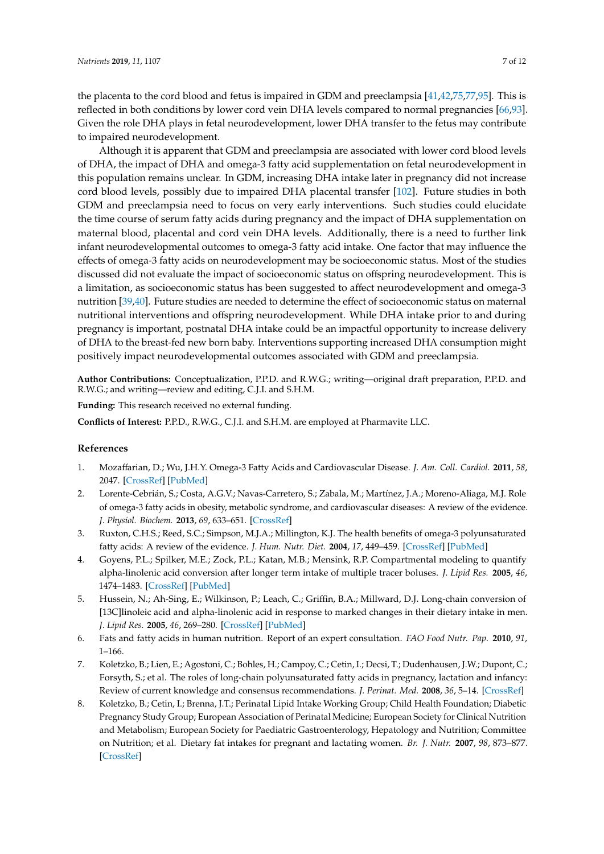the placenta to the cord blood and fetus is impaired in GDM and preeclampsia [\[41,](#page-8-9)[42,](#page-8-10)[75,](#page-10-2)[77](#page-10-4)[,95\]](#page-11-2). This is reflected in both conditions by lower cord vein DHA levels compared to normal pregnancies [\[66,](#page-9-11)[93\]](#page-11-0). Given the role DHA plays in fetal neurodevelopment, lower DHA transfer to the fetus may contribute to impaired neurodevelopment.

Although it is apparent that GDM and preeclampsia are associated with lower cord blood levels of DHA, the impact of DHA and omega-3 fatty acid supplementation on fetal neurodevelopment in this population remains unclear. In GDM, increasing DHA intake later in pregnancy did not increase cord blood levels, possibly due to impaired DHA placental transfer [\[102\]](#page-11-9). Future studies in both GDM and preeclampsia need to focus on very early interventions. Such studies could elucidate the time course of serum fatty acids during pregnancy and the impact of DHA supplementation on maternal blood, placental and cord vein DHA levels. Additionally, there is a need to further link infant neurodevelopmental outcomes to omega-3 fatty acid intake. One factor that may influence the effects of omega-3 fatty acids on neurodevelopment may be socioeconomic status. Most of the studies discussed did not evaluate the impact of socioeconomic status on offspring neurodevelopment. This is a limitation, as socioeconomic status has been suggested to affect neurodevelopment and omega-3 nutrition [\[39](#page-8-7)[,40\]](#page-8-8). Future studies are needed to determine the effect of socioeconomic status on maternal nutritional interventions and offspring neurodevelopment. While DHA intake prior to and during pregnancy is important, postnatal DHA intake could be an impactful opportunity to increase delivery of DHA to the breast-fed new born baby. Interventions supporting increased DHA consumption might positively impact neurodevelopmental outcomes associated with GDM and preeclampsia.

**Author Contributions:** Conceptualization, P.P.D. and R.W.G.; writing—original draft preparation, P.P.D. and R.W.G.; and writing—review and editing, C.J.I. and S.H.M.

**Funding:** This research received no external funding.

**Conflicts of Interest:** P.P.D., R.W.G., C.J.I. and S.H.M. are employed at Pharmavite LLC.

# **References**

- <span id="page-6-0"></span>1. Mozaffarian, D.; Wu, J.H.Y. Omega-3 Fatty Acids and Cardiovascular Disease. *J. Am. Coll. Cardiol.* **2011**, *58*, 2047. [\[CrossRef\]](http://dx.doi.org/10.1016/j.jacc.2011.06.063) [\[PubMed\]](http://www.ncbi.nlm.nih.gov/pubmed/22051327)
- 2. Lorente-Cebrián, S.; Costa, A.G.V.; Navas-Carretero, S.; Zabala, M.; Martínez, J.A.; Moreno-Aliaga, M.J. Role of omega-3 fatty acids in obesity, metabolic syndrome, and cardiovascular diseases: A review of the evidence. *J. Physiol. Biochem.* **2013**, *69*, 633–651. [\[CrossRef\]](http://dx.doi.org/10.1007/s13105-013-0265-4)
- <span id="page-6-1"></span>3. Ruxton, C.H.S.; Reed, S.C.; Simpson, M.J.A.; Millington, K.J. The health benefits of omega-3 polyunsaturated fatty acids: A review of the evidence. *J. Hum. Nutr. Diet.* **2004**, *17*, 449–459. [\[CrossRef\]](http://dx.doi.org/10.1111/j.1365-277X.2004.00552.x) [\[PubMed\]](http://www.ncbi.nlm.nih.gov/pubmed/15357699)
- <span id="page-6-2"></span>4. Goyens, P.L.; Spilker, M.E.; Zock, P.L.; Katan, M.B.; Mensink, R.P. Compartmental modeling to quantify alpha-linolenic acid conversion after longer term intake of multiple tracer boluses. *J. Lipid Res.* **2005**, *46*, 1474–1483. [\[CrossRef\]](http://dx.doi.org/10.1194/jlr.M400514-JLR200) [\[PubMed\]](http://www.ncbi.nlm.nih.gov/pubmed/15834128)
- <span id="page-6-3"></span>5. Hussein, N.; Ah-Sing, E.; Wilkinson, P.; Leach, C.; Griffin, B.A.; Millward, D.J. Long-chain conversion of [13C]linoleic acid and alpha-linolenic acid in response to marked changes in their dietary intake in men. *J. Lipid Res.* **2005**, *46*, 269–280. [\[CrossRef\]](http://dx.doi.org/10.1194/jlr.M400225-JLR200) [\[PubMed\]](http://www.ncbi.nlm.nih.gov/pubmed/15576848)
- <span id="page-6-4"></span>6. Fats and fatty acids in human nutrition. Report of an expert consultation. *FAO Food Nutr. Pap.* **2010**, *91*, 1–166.
- 7. Koletzko, B.; Lien, E.; Agostoni, C.; Bohles, H.; Campoy, C.; Cetin, I.; Decsi, T.; Dudenhausen, J.W.; Dupont, C.; Forsyth, S.; et al. The roles of long-chain polyunsaturated fatty acids in pregnancy, lactation and infancy: Review of current knowledge and consensus recommendations. *J. Perinat. Med.* **2008**, *36*, 5–14. [\[CrossRef\]](http://dx.doi.org/10.1515/JPM.2008.001)
- 8. Koletzko, B.; Cetin, I.; Brenna, J.T.; Perinatal Lipid Intake Working Group; Child Health Foundation; Diabetic Pregnancy Study Group; European Association of Perinatal Medicine; European Society for Clinical Nutrition and Metabolism; European Society for Paediatric Gastroenterology, Hepatology and Nutrition; Committee on Nutrition; et al. Dietary fat intakes for pregnant and lactating women. *Br. J. Nutr.* **2007**, *98*, 873–877. [\[CrossRef\]](http://dx.doi.org/10.1017/S0007114507764747)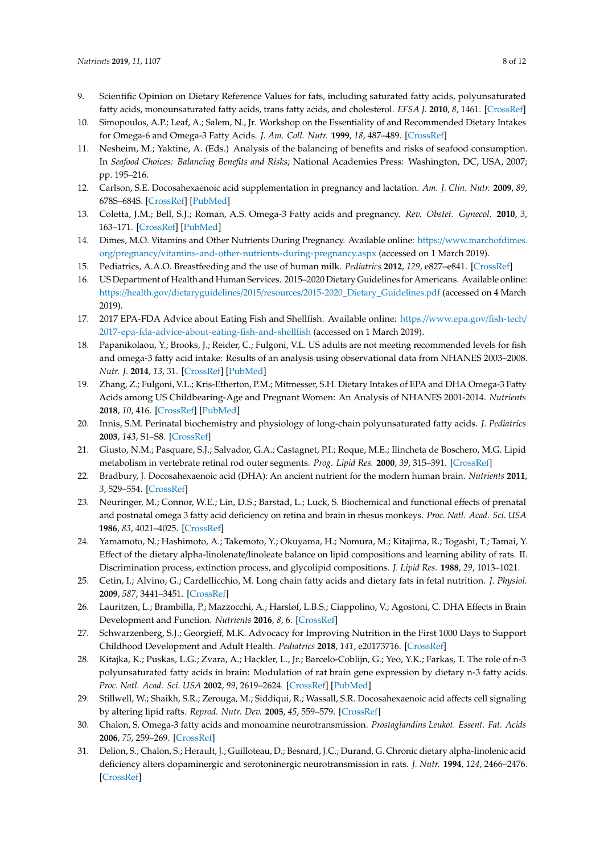- 9. Scientific Opinion on Dietary Reference Values for fats, including saturated fatty acids, polyunsaturated fatty acids, monounsaturated fatty acids, trans fatty acids, and cholesterol. *EFSA J.* **2010**, *8*, 1461. [\[CrossRef\]](http://dx.doi.org/10.2903/j.efsa.2010.1461)
- <span id="page-7-0"></span>10. Simopoulos, A.P.; Leaf, A.; Salem, N., Jr. Workshop on the Essentiality of and Recommended Dietary Intakes for Omega-6 and Omega-3 Fatty Acids. *J. Am. Coll. Nutr.* **1999**, *18*, 487–489. [\[CrossRef\]](http://dx.doi.org/10.1080/07315724.1999.10718888)
- <span id="page-7-1"></span>11. Nesheim, M.; Yaktine, A. (Eds.) Analysis of the balancing of benefits and risks of seafood consumption. In *Seafood Choices: Balancing Benefits and Risks*; National Academies Press: Washington, DC, USA, 2007; pp. 195–216.
- 12. Carlson, S.E. Docosahexaenoic acid supplementation in pregnancy and lactation. *Am. J. Clin. Nutr.* **2009**, *89*, 678S–684S. [\[CrossRef\]](http://dx.doi.org/10.3945/ajcn.2008.26811E) [\[PubMed\]](http://www.ncbi.nlm.nih.gov/pubmed/19116324)
- 13. Coletta, J.M.; Bell, S.J.; Roman, A.S. Omega-3 Fatty acids and pregnancy. *Rev. Obstet. Gynecol.* **2010**, *3*, 163–171. [\[CrossRef\]](http://dx.doi.org/10.3909/riog0137) [\[PubMed\]](http://www.ncbi.nlm.nih.gov/pubmed/21364848)
- 14. Dimes, M.O. Vitamins and Other Nutrients During Pregnancy. Available online: https://[www.marchofdimes.](https://www.marchofdimes.org/pregnancy/vitamins-and-other-nutrients-during-pregnancy.aspx) org/pregnancy/[vitamins-and-other-nutrients-during-pregnancy.aspx](https://www.marchofdimes.org/pregnancy/vitamins-and-other-nutrients-during-pregnancy.aspx) (accessed on 1 March 2019).
- 15. Pediatrics, A.A.O. Breastfeeding and the use of human milk. *Pediatrics* **2012**, *129*, e827–e841. [\[CrossRef\]](http://dx.doi.org/10.1542/peds.2011-3552)
- 16. US Department of Health and Human Services. 2015–2020 Dietary Guidelines for Americans. Available online: https://health.gov/dietaryguidelines/2015/resources/[2015-2020\\_Dietary\\_Guidelines.pdf](https://health.gov/dietaryguidelines/2015/resources/2015-2020_Dietary_Guidelines.pdf) (accessed on 4 March 2019).
- <span id="page-7-2"></span>17. 2017 EPA-FDA Advice about Eating Fish and Shellfish. Available online: https://[www.epa.gov](https://www.epa.gov/fish-tech/2017-epa-fda-advice-about-eating-fish-and-shellfish)/fish-tech/ [2017-epa-fda-advice-about-eating-fish-and-shellfish](https://www.epa.gov/fish-tech/2017-epa-fda-advice-about-eating-fish-and-shellfish) (accessed on 1 March 2019).
- <span id="page-7-3"></span>18. Papanikolaou, Y.; Brooks, J.; Reider, C.; Fulgoni, V.L. US adults are not meeting recommended levels for fish and omega-3 fatty acid intake: Results of an analysis using observational data from NHANES 2003–2008. *Nutr. J.* **2014**, *13*, 31. [\[CrossRef\]](http://dx.doi.org/10.1186/1475-2891-13-31) [\[PubMed\]](http://www.ncbi.nlm.nih.gov/pubmed/24694001)
- <span id="page-7-4"></span>19. Zhang, Z.; Fulgoni, V.L.; Kris-Etherton, P.M.; Mitmesser, S.H. Dietary Intakes of EPA and DHA Omega-3 Fatty Acids among US Childbearing-Age and Pregnant Women: An Analysis of NHANES 2001-2014. *Nutrients* **2018**, *10*, 416. [\[CrossRef\]](http://dx.doi.org/10.3390/nu10040416) [\[PubMed\]](http://www.ncbi.nlm.nih.gov/pubmed/29597261)
- <span id="page-7-5"></span>20. Innis, S.M. Perinatal biochemistry and physiology of long-chain polyunsaturated fatty acids. *J. Pediatrics* **2003**, *143*, S1–S8. [\[CrossRef\]](http://dx.doi.org/10.1067/S0022-3476(03)00396-2)
- <span id="page-7-6"></span>21. Giusto, N.M.; Pasquare, S.J.; Salvador, G.A.; Castagnet, P.I.; Roque, M.E.; Ilincheta de Boschero, M.G. Lipid metabolism in vertebrate retinal rod outer segments. *Prog. Lipid Res.* **2000**, *39*, 315–391. [\[CrossRef\]](http://dx.doi.org/10.1016/S0163-7827(00)00009-6)
- <span id="page-7-7"></span>22. Bradbury, J. Docosahexaenoic acid (DHA): An ancient nutrient for the modern human brain. *Nutrients* **2011**, *3*, 529–554. [\[CrossRef\]](http://dx.doi.org/10.3390/nu3050529)
- <span id="page-7-8"></span>23. Neuringer, M.; Connor, W.E.; Lin, D.S.; Barstad, L.; Luck, S. Biochemical and functional effects of prenatal and postnatal omega 3 fatty acid deficiency on retina and brain in rhesus monkeys. *Proc. Natl. Acad. Sci. USA* **1986**, *83*, 4021–4025. [\[CrossRef\]](http://dx.doi.org/10.1073/pnas.83.11.4021)
- <span id="page-7-9"></span>24. Yamamoto, N.; Hashimoto, A.; Takemoto, Y.; Okuyama, H.; Nomura, M.; Kitajima, R.; Togashi, T.; Tamai, Y. Effect of the dietary alpha-linolenate/linoleate balance on lipid compositions and learning ability of rats. II. Discrimination process, extinction process, and glycolipid compositions. *J. Lipid Res.* **1988**, *29*, 1013–1021.
- <span id="page-7-10"></span>25. Cetin, I.; Alvino, G.; Cardellicchio, M. Long chain fatty acids and dietary fats in fetal nutrition. *J. Physiol.* **2009**, *587*, 3441–3451. [\[CrossRef\]](http://dx.doi.org/10.1113/jphysiol.2009.173062)
- <span id="page-7-11"></span>26. Lauritzen, L.; Brambilla, P.; Mazzocchi, A.; Harsløf, L.B.S.; Ciappolino, V.; Agostoni, C. DHA Effects in Brain Development and Function. *Nutrients* **2016**, *8*, 6. [\[CrossRef\]](http://dx.doi.org/10.3390/nu8010006)
- <span id="page-7-12"></span>27. Schwarzenberg, S.J.; Georgieff, M.K. Advocacy for Improving Nutrition in the First 1000 Days to Support Childhood Development and Adult Health. *Pediatrics* **2018**, *141*, e20173716. [\[CrossRef\]](http://dx.doi.org/10.1542/peds.2017-3716)
- <span id="page-7-13"></span>28. Kitajka, K.; Puskas, L.G.; Zvara, A.; Hackler, L., Jr.; Barcelo-Coblijn, G.; Yeo, Y.K.; Farkas, T. The role of n-3 polyunsaturated fatty acids in brain: Modulation of rat brain gene expression by dietary n-3 fatty acids. *Proc. Natl. Acad. Sci. USA* **2002**, *99*, 2619–2624. [\[CrossRef\]](http://dx.doi.org/10.1073/pnas.042698699) [\[PubMed\]](http://www.ncbi.nlm.nih.gov/pubmed/11880617)
- 29. Stillwell, W.; Shaikh, S.R.; Zerouga, M.; Siddiqui, R.; Wassall, S.R. Docosahexaenoic acid affects cell signaling by altering lipid rafts. *Reprod. Nutr. Dev.* **2005**, *45*, 559–579. [\[CrossRef\]](http://dx.doi.org/10.1051/rnd:2005046)
- <span id="page-7-14"></span>30. Chalon, S. Omega-3 fatty acids and monoamine neurotransmission. *Prostaglandins Leukot. Essent. Fat. Acids* **2006**, *75*, 259–269. [\[CrossRef\]](http://dx.doi.org/10.1016/j.plefa.2006.07.005)
- <span id="page-7-15"></span>31. Delion, S.; Chalon, S.; Herault, J.; Guilloteau, D.; Besnard, J.C.; Durand, G. Chronic dietary alpha-linolenic acid deficiency alters dopaminergic and serotoninergic neurotransmission in rats. *J. Nutr.* **1994**, *124*, 2466–2476. [\[CrossRef\]](http://dx.doi.org/10.1093/jn/124.12.2466)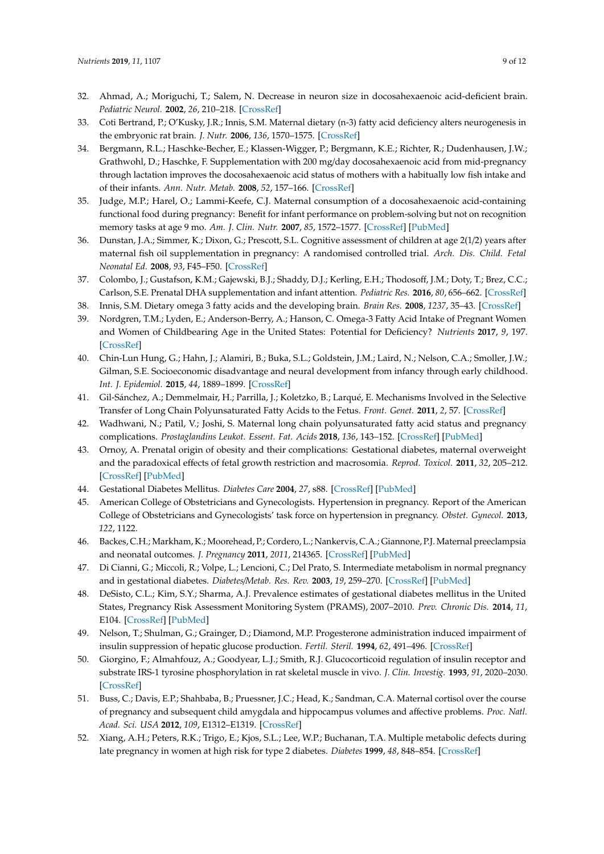- <span id="page-8-0"></span>32. Ahmad, A.; Moriguchi, T.; Salem, N. Decrease in neuron size in docosahexaenoic acid-deficient brain. *Pediatric Neurol.* **2002**, *26*, 210–218. [\[CrossRef\]](http://dx.doi.org/10.1016/S0887-8994(01)00383-6)
- <span id="page-8-1"></span>33. Coti Bertrand, P.; O'Kusky, J.R.; Innis, S.M. Maternal dietary (n-3) fatty acid deficiency alters neurogenesis in the embryonic rat brain. *J. Nutr.* **2006**, *136*, 1570–1575. [\[CrossRef\]](http://dx.doi.org/10.1093/jn/136.6.1570)
- <span id="page-8-2"></span>34. Bergmann, R.L.; Haschke-Becher, E.; Klassen-Wigger, P.; Bergmann, K.E.; Richter, R.; Dudenhausen, J.W.; Grathwohl, D.; Haschke, F. Supplementation with 200 mg/day docosahexaenoic acid from mid-pregnancy through lactation improves the docosahexaenoic acid status of mothers with a habitually low fish intake and of their infants. *Ann. Nutr. Metab.* **2008**, *52*, 157–166. [\[CrossRef\]](http://dx.doi.org/10.1159/000129651)
- <span id="page-8-3"></span>35. Judge, M.P.; Harel, O.; Lammi-Keefe, C.J. Maternal consumption of a docosahexaenoic acid-containing functional food during pregnancy: Benefit for infant performance on problem-solving but not on recognition memory tasks at age 9 mo. *Am. J. Clin. Nutr.* **2007**, *85*, 1572–1577. [\[CrossRef\]](http://dx.doi.org/10.1093/ajcn/85.6.1572) [\[PubMed\]](http://www.ncbi.nlm.nih.gov/pubmed/17556695)
- <span id="page-8-4"></span>36. Dunstan, J.A.; Simmer, K.; Dixon, G.; Prescott, S.L. Cognitive assessment of children at age 2(1/2) years after maternal fish oil supplementation in pregnancy: A randomised controlled trial. *Arch. Dis. Child. Fetal Neonatal Ed.* **2008**, *93*, F45–F50. [\[CrossRef\]](http://dx.doi.org/10.1136/adc.2006.099085)
- <span id="page-8-5"></span>37. Colombo, J.; Gustafson, K.M.; Gajewski, B.J.; Shaddy, D.J.; Kerling, E.H.; Thodosoff, J.M.; Doty, T.; Brez, C.C.; Carlson, S.E. Prenatal DHA supplementation and infant attention. *Pediatric Res.* **2016**, *80*, 656–662. [\[CrossRef\]](http://dx.doi.org/10.1038/pr.2016.134)
- <span id="page-8-6"></span>38. Innis, S.M. Dietary omega 3 fatty acids and the developing brain. *Brain Res.* **2008**, *1237*, 35–43. [\[CrossRef\]](http://dx.doi.org/10.1016/j.brainres.2008.08.078)
- <span id="page-8-7"></span>39. Nordgren, T.M.; Lyden, E.; Anderson-Berry, A.; Hanson, C. Omega-3 Fatty Acid Intake of Pregnant Women and Women of Childbearing Age in the United States: Potential for Deficiency? *Nutrients* **2017**, *9*, 197. [\[CrossRef\]](http://dx.doi.org/10.3390/nu9030197)
- <span id="page-8-8"></span>40. Chin-Lun Hung, G.; Hahn, J.; Alamiri, B.; Buka, S.L.; Goldstein, J.M.; Laird, N.; Nelson, C.A.; Smoller, J.W.; Gilman, S.E. Socioeconomic disadvantage and neural development from infancy through early childhood. *Int. J. Epidemiol.* **2015**, *44*, 1889–1899. [\[CrossRef\]](http://dx.doi.org/10.1093/ije/dyv303)
- <span id="page-8-9"></span>41. Gil-Sánchez, A.; Demmelmair, H.; Parrilla, J.; Koletzko, B.; Larqué, E. Mechanisms Involved in the Selective Transfer of Long Chain Polyunsaturated Fatty Acids to the Fetus. *Front. Genet.* **2011**, *2*, 57. [\[CrossRef\]](http://dx.doi.org/10.3389/fgene.2011.00057)
- <span id="page-8-10"></span>42. Wadhwani, N.; Patil, V.; Joshi, S. Maternal long chain polyunsaturated fatty acid status and pregnancy complications. *Prostaglandins Leukot. Essent. Fat. Acids* **2018**, *136*, 143–152. [\[CrossRef\]](http://dx.doi.org/10.1016/j.plefa.2017.08.002) [\[PubMed\]](http://www.ncbi.nlm.nih.gov/pubmed/28888333)
- <span id="page-8-11"></span>43. Ornoy, A. Prenatal origin of obesity and their complications: Gestational diabetes, maternal overweight and the paradoxical effects of fetal growth restriction and macrosomia. *Reprod. Toxicol.* **2011**, *32*, 205–212. [\[CrossRef\]](http://dx.doi.org/10.1016/j.reprotox.2011.05.002) [\[PubMed\]](http://www.ncbi.nlm.nih.gov/pubmed/21620955)
- <span id="page-8-13"></span><span id="page-8-12"></span>44. Gestational Diabetes Mellitus. *Diabetes Care* **2004**, *27*, s88. [\[CrossRef\]](http://dx.doi.org/10.2337/diacare.27.2007.S88) [\[PubMed\]](http://www.ncbi.nlm.nih.gov/pubmed/14693936)
- 45. American College of Obstetricians and Gynecologists. Hypertension in pregnancy. Report of the American College of Obstetricians and Gynecologists' task force on hypertension in pregnancy. *Obstet. Gynecol.* **2013**, *122*, 1122.
- <span id="page-8-14"></span>46. Backes, C.H.; Markham, K.; Moorehead, P.; Cordero, L.; Nankervis, C.A.; Giannone, P.J. Maternal preeclampsia and neonatal outcomes. *J. Pregnancy* **2011**, *2011*, 214365. [\[CrossRef\]](http://dx.doi.org/10.1155/2011/214365) [\[PubMed\]](http://www.ncbi.nlm.nih.gov/pubmed/21547086)
- <span id="page-8-15"></span>47. Di Cianni, G.; Miccoli, R.; Volpe, L.; Lencioni, C.; Del Prato, S. Intermediate metabolism in normal pregnancy and in gestational diabetes. *Diabetes*/*Metab. Res. Rev.* **2003**, *19*, 259–270. [\[CrossRef\]](http://dx.doi.org/10.1002/dmrr.390) [\[PubMed\]](http://www.ncbi.nlm.nih.gov/pubmed/12879403)
- <span id="page-8-16"></span>48. DeSisto, C.L.; Kim, S.Y.; Sharma, A.J. Prevalence estimates of gestational diabetes mellitus in the United States, Pregnancy Risk Assessment Monitoring System (PRAMS), 2007–2010. *Prev. Chronic Dis.* **2014**, *11*, E104. [\[CrossRef\]](http://dx.doi.org/10.5888/pcd11.130415) [\[PubMed\]](http://www.ncbi.nlm.nih.gov/pubmed/24945238)
- <span id="page-8-17"></span>49. Nelson, T.; Shulman, G.; Grainger, D.; Diamond, M.P. Progesterone administration induced impairment of insulin suppression of hepatic glucose production. *Fertil. Steril.* **1994**, *62*, 491–496. [\[CrossRef\]](http://dx.doi.org/10.1016/S0015-0282(16)56936-2)
- <span id="page-8-18"></span>50. Giorgino, F.; Almahfouz, A.; Goodyear, L.J.; Smith, R.J. Glucocorticoid regulation of insulin receptor and substrate IRS-1 tyrosine phosphorylation in rat skeletal muscle in vivo. *J. Clin. Investig.* **1993**, *91*, 2020–2030. [\[CrossRef\]](http://dx.doi.org/10.1172/JCI116424)
- <span id="page-8-19"></span>51. Buss, C.; Davis, E.P.; Shahbaba, B.; Pruessner, J.C.; Head, K.; Sandman, C.A. Maternal cortisol over the course of pregnancy and subsequent child amygdala and hippocampus volumes and affective problems. *Proc. Natl. Acad. Sci. USA* **2012**, *109*, E1312–E1319. [\[CrossRef\]](http://dx.doi.org/10.1073/pnas.1201295109)
- <span id="page-8-20"></span>52. Xiang, A.H.; Peters, R.K.; Trigo, E.; Kjos, S.L.; Lee, W.P.; Buchanan, T.A. Multiple metabolic defects during late pregnancy in women at high risk for type 2 diabetes. *Diabetes* **1999**, *48*, 848–854. [\[CrossRef\]](http://dx.doi.org/10.2337/diabetes.48.4.848)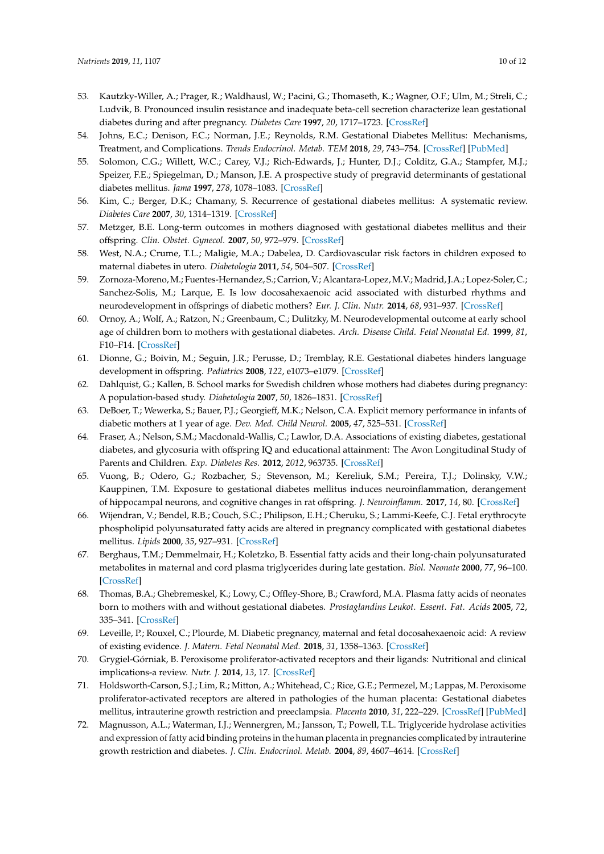- <span id="page-9-0"></span>53. Kautzky-Willer, A.; Prager, R.; Waldhausl, W.; Pacini, G.; Thomaseth, K.; Wagner, O.F.; Ulm, M.; Streli, C.; Ludvik, B. Pronounced insulin resistance and inadequate beta-cell secretion characterize lean gestational diabetes during and after pregnancy. *Diabetes Care* **1997**, *20*, 1717–1723. [\[CrossRef\]](http://dx.doi.org/10.2337/diacare.20.11.1717)
- <span id="page-9-1"></span>54. Johns, E.C.; Denison, F.C.; Norman, J.E.; Reynolds, R.M. Gestational Diabetes Mellitus: Mechanisms, Treatment, and Complications. *Trends Endocrinol. Metab. TEM* **2018**, *29*, 743–754. [\[CrossRef\]](http://dx.doi.org/10.1016/j.tem.2018.09.004) [\[PubMed\]](http://www.ncbi.nlm.nih.gov/pubmed/30297319)
- <span id="page-9-2"></span>55. Solomon, C.G.; Willett, W.C.; Carey, V.J.; Rich-Edwards, J.; Hunter, D.J.; Colditz, G.A.; Stampfer, M.J.; Speizer, F.E.; Spiegelman, D.; Manson, J.E. A prospective study of pregravid determinants of gestational diabetes mellitus. *Jama* **1997**, *278*, 1078–1083. [\[CrossRef\]](http://dx.doi.org/10.1001/jama.1997.03550130052036)
- <span id="page-9-3"></span>56. Kim, C.; Berger, D.K.; Chamany, S. Recurrence of gestational diabetes mellitus: A systematic review. *Diabetes Care* **2007**, *30*, 1314–1319. [\[CrossRef\]](http://dx.doi.org/10.2337/dc06-2517)
- <span id="page-9-4"></span>57. Metzger, B.E. Long-term outcomes in mothers diagnosed with gestational diabetes mellitus and their offspring. *Clin. Obstet. Gynecol.* **2007**, *50*, 972–979. [\[CrossRef\]](http://dx.doi.org/10.1097/GRF.0b013e31815a61d6)
- <span id="page-9-5"></span>58. West, N.A.; Crume, T.L.; Maligie, M.A.; Dabelea, D. Cardiovascular risk factors in children exposed to maternal diabetes in utero. *Diabetologia* **2011**, *54*, 504–507. [\[CrossRef\]](http://dx.doi.org/10.1007/s00125-010-2008-1)
- <span id="page-9-6"></span>59. Zornoza-Moreno, M.; Fuentes-Hernandez, S.; Carrion, V.; Alcantara-Lopez, M.V.; Madrid, J.A.; Lopez-Soler, C.; Sanchez-Solis, M.; Larque, E. Is low docosahexaenoic acid associated with disturbed rhythms and neurodevelopment in offsprings of diabetic mothers? *Eur. J. Clin. Nutr.* **2014**, *68*, 931–937. [\[CrossRef\]](http://dx.doi.org/10.1038/ejcn.2014.104)
- <span id="page-9-8"></span>60. Ornoy, A.; Wolf, A.; Ratzon, N.; Greenbaum, C.; Dulitzky, M. Neurodevelopmental outcome at early school age of children born to mothers with gestational diabetes. *Arch. Disease Child. Fetal Neonatal Ed.* **1999**, *81*, F10–F14. [\[CrossRef\]](http://dx.doi.org/10.1136/fn.81.1.F10)
- <span id="page-9-9"></span>61. Dionne, G.; Boivin, M.; Seguin, J.R.; Perusse, D.; Tremblay, R.E. Gestational diabetes hinders language development in offspring. *Pediatrics* **2008**, *122*, e1073–e1079. [\[CrossRef\]](http://dx.doi.org/10.1542/peds.2007-3028)
- 62. Dahlquist, G.; Kallen, B. School marks for Swedish children whose mothers had diabetes during pregnancy: A population-based study. *Diabetologia* **2007**, *50*, 1826–1831. [\[CrossRef\]](http://dx.doi.org/10.1007/s00125-007-0744-7)
- 63. DeBoer, T.; Wewerka, S.; Bauer, P.J.; Georgieff, M.K.; Nelson, C.A. Explicit memory performance in infants of diabetic mothers at 1 year of age. *Dev. Med. Child Neurol.* **2005**, *47*, 525–531. [\[CrossRef\]](http://dx.doi.org/10.1017/S0012162205001039)
- <span id="page-9-7"></span>64. Fraser, A.; Nelson, S.M.; Macdonald-Wallis, C.; Lawlor, D.A. Associations of existing diabetes, gestational diabetes, and glycosuria with offspring IQ and educational attainment: The Avon Longitudinal Study of Parents and Children. *Exp. Diabetes Res.* **2012**, *2012*, 963735. [\[CrossRef\]](http://dx.doi.org/10.1155/2012/963735)
- <span id="page-9-10"></span>65. Vuong, B.; Odero, G.; Rozbacher, S.; Stevenson, M.; Kereliuk, S.M.; Pereira, T.J.; Dolinsky, V.W.; Kauppinen, T.M. Exposure to gestational diabetes mellitus induces neuroinflammation, derangement of hippocampal neurons, and cognitive changes in rat offspring. *J. Neuroinflamm.* **2017**, *14*, 80. [\[CrossRef\]](http://dx.doi.org/10.1186/s12974-017-0859-9)
- <span id="page-9-11"></span>66. Wijendran, V.; Bendel, R.B.; Couch, S.C.; Philipson, E.H.; Cheruku, S.; Lammi-Keefe, C.J. Fetal erythrocyte phospholipid polyunsaturated fatty acids are altered in pregnancy complicated with gestational diabetes mellitus. *Lipids* **2000**, *35*, 927–931. [\[CrossRef\]](http://dx.doi.org/10.1007/S11745-000-0602-2)
- <span id="page-9-12"></span>67. Berghaus, T.M.; Demmelmair, H.; Koletzko, B. Essential fatty acids and their long-chain polyunsaturated metabolites in maternal and cord plasma triglycerides during late gestation. *Biol. Neonate* **2000**, *77*, 96–100. [\[CrossRef\]](http://dx.doi.org/10.1159/000014201)
- <span id="page-9-13"></span>68. Thomas, B.A.; Ghebremeskel, K.; Lowy, C.; Offley-Shore, B.; Crawford, M.A. Plasma fatty acids of neonates born to mothers with and without gestational diabetes. *Prostaglandins Leukot. Essent. Fat. Acids* **2005**, *72*, 335–341. [\[CrossRef\]](http://dx.doi.org/10.1016/j.plefa.2005.01.001)
- <span id="page-9-14"></span>69. Leveille, P.; Rouxel, C.; Plourde, M. Diabetic pregnancy, maternal and fetal docosahexaenoic acid: A review of existing evidence. *J. Matern. Fetal Neonatal Med.* **2018**, *31*, 1358–1363. [\[CrossRef\]](http://dx.doi.org/10.1080/14767058.2017.1314460)
- <span id="page-9-15"></span>70. Grygiel-Górniak, B. Peroxisome proliferator-activated receptors and their ligands: Nutritional and clinical implications-a review. *Nutr. J.* **2014**, *13*, 17. [\[CrossRef\]](http://dx.doi.org/10.1186/1475-2891-13-17)
- <span id="page-9-16"></span>71. Holdsworth-Carson, S.J.; Lim, R.; Mitton, A.; Whitehead, C.; Rice, G.E.; Permezel, M.; Lappas, M. Peroxisome proliferator-activated receptors are altered in pathologies of the human placenta: Gestational diabetes mellitus, intrauterine growth restriction and preeclampsia. *Placenta* **2010**, *31*, 222–229. [\[CrossRef\]](http://dx.doi.org/10.1016/j.placenta.2009.12.009) [\[PubMed\]](http://www.ncbi.nlm.nih.gov/pubmed/20045185)
- <span id="page-9-17"></span>72. Magnusson, A.L.; Waterman, I.J.; Wennergren, M.; Jansson, T.; Powell, T.L. Triglyceride hydrolase activities and expression of fatty acid binding proteins in the human placenta in pregnancies complicated by intrauterine growth restriction and diabetes. *J. Clin. Endocrinol. Metab.* **2004**, *89*, 4607–4614. [\[CrossRef\]](http://dx.doi.org/10.1210/jc.2003-032234)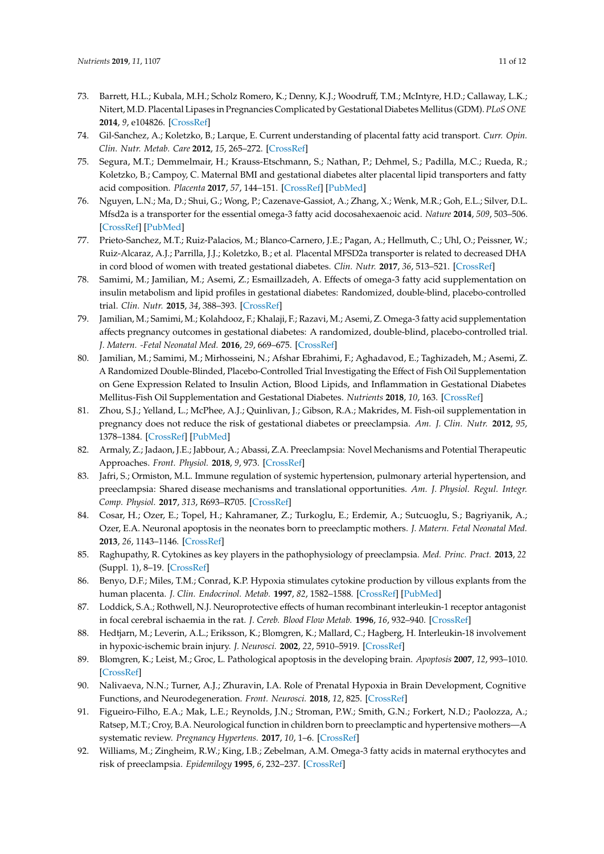- <span id="page-10-0"></span>73. Barrett, H.L.; Kubala, M.H.; Scholz Romero, K.; Denny, K.J.; Woodruff, T.M.; McIntyre, H.D.; Callaway, L.K.; Nitert, M.D. Placental Lipases in Pregnancies Complicated by Gestational Diabetes Mellitus (GDM). *PLoS ONE* **2014**, *9*, e104826. [\[CrossRef\]](http://dx.doi.org/10.1371/journal.pone.0104826)
- <span id="page-10-1"></span>74. Gil-Sanchez, A.; Koletzko, B.; Larque, E. Current understanding of placental fatty acid transport. *Curr. Opin. Clin. Nutr. Metab. Care* **2012**, *15*, 265–272. [\[CrossRef\]](http://dx.doi.org/10.1097/MCO.0b013e3283523b6e)
- <span id="page-10-2"></span>75. Segura, M.T.; Demmelmair, H.; Krauss-Etschmann, S.; Nathan, P.; Dehmel, S.; Padilla, M.C.; Rueda, R.; Koletzko, B.; Campoy, C. Maternal BMI and gestational diabetes alter placental lipid transporters and fatty acid composition. *Placenta* **2017**, *57*, 144–151. [\[CrossRef\]](http://dx.doi.org/10.1016/j.placenta.2017.07.001) [\[PubMed\]](http://www.ncbi.nlm.nih.gov/pubmed/28864004)
- <span id="page-10-3"></span>76. Nguyen, L.N.; Ma, D.; Shui, G.; Wong, P.; Cazenave-Gassiot, A.; Zhang, X.; Wenk, M.R.; Goh, E.L.; Silver, D.L. Mfsd2a is a transporter for the essential omega-3 fatty acid docosahexaenoic acid. *Nature* **2014**, *509*, 503–506. [\[CrossRef\]](http://dx.doi.org/10.1038/nature13241) [\[PubMed\]](http://www.ncbi.nlm.nih.gov/pubmed/24828044)
- <span id="page-10-4"></span>77. Prieto-Sanchez, M.T.; Ruiz-Palacios, M.; Blanco-Carnero, J.E.; Pagan, A.; Hellmuth, C.; Uhl, O.; Peissner, W.; Ruiz-Alcaraz, A.J.; Parrilla, J.J.; Koletzko, B.; et al. Placental MFSD2a transporter is related to decreased DHA in cord blood of women with treated gestational diabetes. *Clin. Nutr.* **2017**, *36*, 513–521. [\[CrossRef\]](http://dx.doi.org/10.1016/j.clnu.2016.01.014)
- <span id="page-10-5"></span>78. Samimi, M.; Jamilian, M.; Asemi, Z.; Esmaillzadeh, A. Effects of omega-3 fatty acid supplementation on insulin metabolism and lipid profiles in gestational diabetes: Randomized, double-blind, placebo-controlled trial. *Clin. Nutr.* **2015**, *34*, 388–393. [\[CrossRef\]](http://dx.doi.org/10.1016/j.clnu.2014.06.005)
- 79. Jamilian, M.; Samimi, M.; Kolahdooz, F.; Khalaji, F.; Razavi, M.; Asemi, Z. Omega-3 fatty acid supplementation affects pregnancy outcomes in gestational diabetes: A randomized, double-blind, placebo-controlled trial. *J. Matern. -Fetal Neonatal Med.* **2016**, *29*, 669–675. [\[CrossRef\]](http://dx.doi.org/10.3109/14767058.2015.1015980)
- <span id="page-10-6"></span>80. Jamilian, M.; Samimi, M.; Mirhosseini, N.; Afshar Ebrahimi, F.; Aghadavod, E.; Taghizadeh, M.; Asemi, Z. A Randomized Double-Blinded, Placebo-Controlled Trial Investigating the Effect of Fish Oil Supplementation on Gene Expression Related to Insulin Action, Blood Lipids, and Inflammation in Gestational Diabetes Mellitus-Fish Oil Supplementation and Gestational Diabetes. *Nutrients* **2018**, *10*, 163. [\[CrossRef\]](http://dx.doi.org/10.3390/nu10020163)
- <span id="page-10-7"></span>81. Zhou, S.J.; Yelland, L.; McPhee, A.J.; Quinlivan, J.; Gibson, R.A.; Makrides, M. Fish-oil supplementation in pregnancy does not reduce the risk of gestational diabetes or preeclampsia. *Am. J. Clin. Nutr.* **2012**, *95*, 1378–1384. [\[CrossRef\]](http://dx.doi.org/10.3945/ajcn.111.033217) [\[PubMed\]](http://www.ncbi.nlm.nih.gov/pubmed/22552037)
- <span id="page-10-8"></span>82. Armaly, Z.; Jadaon, J.E.; Jabbour, A.; Abassi, Z.A. Preeclampsia: Novel Mechanisms and Potential Therapeutic Approaches. *Front. Physiol.* **2018**, *9*, 973. [\[CrossRef\]](http://dx.doi.org/10.3389/fphys.2018.00973)
- <span id="page-10-9"></span>83. Jafri, S.; Ormiston, M.L. Immune regulation of systemic hypertension, pulmonary arterial hypertension, and preeclampsia: Shared disease mechanisms and translational opportunities. *Am. J. Physiol. Regul. Integr. Comp. Physiol.* **2017**, *313*, R693–R705. [\[CrossRef\]](http://dx.doi.org/10.1152/ajpregu.00259.2017)
- <span id="page-10-10"></span>84. Cosar, H.; Ozer, E.; Topel, H.; Kahramaner, Z.; Turkoglu, E.; Erdemir, A.; Sutcuoglu, S.; Bagriyanik, A.; Ozer, E.A. Neuronal apoptosis in the neonates born to preeclamptic mothers. *J. Matern. Fetal Neonatal Med.* **2013**, *26*, 1143–1146. [\[CrossRef\]](http://dx.doi.org/10.3109/14767058.2013.770463)
- <span id="page-10-11"></span>85. Raghupathy, R. Cytokines as key players in the pathophysiology of preeclampsia. *Med. Princ. Pract.* **2013**, *22* (Suppl. 1), 8–19. [\[CrossRef\]](http://dx.doi.org/10.1159/000354200)
- <span id="page-10-12"></span>86. Benyo, D.F.; Miles, T.M.; Conrad, K.P. Hypoxia stimulates cytokine production by villous explants from the human placenta. *J. Clin. Endocrinol. Metab.* **1997**, *82*, 1582–1588. [\[CrossRef\]](http://dx.doi.org/10.1210/jc.82.5.1582) [\[PubMed\]](http://www.ncbi.nlm.nih.gov/pubmed/9141553)
- <span id="page-10-13"></span>87. Loddick, S.A.; Rothwell, N.J. Neuroprotective effects of human recombinant interleukin-1 receptor antagonist in focal cerebral ischaemia in the rat. *J. Cereb. Blood Flow Metab.* **1996**, *16*, 932–940. [\[CrossRef\]](http://dx.doi.org/10.1097/00004647-199609000-00017)
- <span id="page-10-14"></span>88. Hedtjarn, M.; Leverin, A.L.; Eriksson, K.; Blomgren, K.; Mallard, C.; Hagberg, H. Interleukin-18 involvement in hypoxic-ischemic brain injury. *J. Neurosci.* **2002**, *22*, 5910–5919. [\[CrossRef\]](http://dx.doi.org/10.1523/JNEUROSCI.22-14-05910.2002)
- <span id="page-10-15"></span>89. Blomgren, K.; Leist, M.; Groc, L. Pathological apoptosis in the developing brain. *Apoptosis* **2007**, *12*, 993–1010. [\[CrossRef\]](http://dx.doi.org/10.1007/s10495-007-0754-4)
- <span id="page-10-16"></span>90. Nalivaeva, N.N.; Turner, A.J.; Zhuravin, I.A. Role of Prenatal Hypoxia in Brain Development, Cognitive Functions, and Neurodegeneration. *Front. Neurosci.* **2018**, *12*, 825. [\[CrossRef\]](http://dx.doi.org/10.3389/fnins.2018.00825)
- <span id="page-10-17"></span>91. Figueiro-Filho, E.A.; Mak, L.E.; Reynolds, J.N.; Stroman, P.W.; Smith, G.N.; Forkert, N.D.; Paolozza, A.; Ratsep, M.T.; Croy, B.A. Neurological function in children born to preeclamptic and hypertensive mothers—A systematic review. *Pregnancy Hypertens.* **2017**, *10*, 1–6. [\[CrossRef\]](http://dx.doi.org/10.1016/j.preghy.2017.07.144)
- <span id="page-10-18"></span>92. Williams, M.; Zingheim, R.W.; King, I.B.; Zebelman, A.M. Omega-3 fatty acids in maternal erythocytes and risk of preeclampsia. *Epidemilogy* **1995**, *6*, 232–237. [\[CrossRef\]](http://dx.doi.org/10.1097/00001648-199505000-00007)